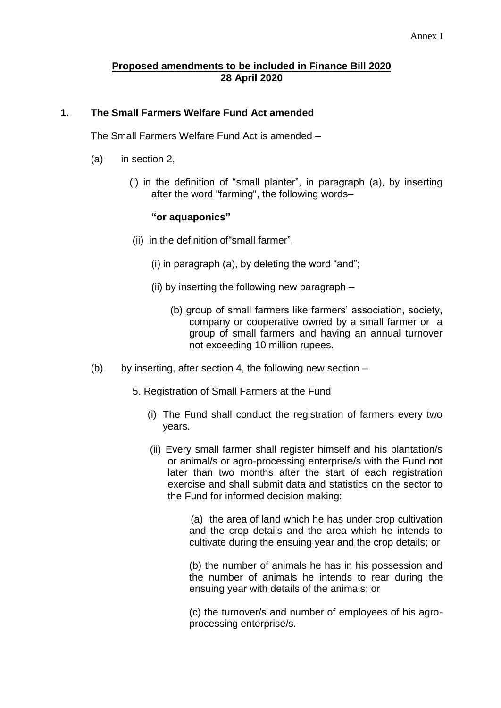## **Proposed amendments to be included in Finance Bill 2020 28 April 2020**

## **1. The Small Farmers Welfare Fund Act amended**

The Small Farmers Welfare Fund Act is amended –

- (a) in section 2,
	- (i) in the definition of "small planter", in paragraph (a), by inserting after the word "farming", the following words–

## **"or aquaponics"**

- (ii) in the definition of"small farmer",
	- (i) in paragraph (a), by deleting the word "and";
	- (ii) by inserting the following new paragraph
		- (b) group of small farmers like farmers' association, society, company or cooperative owned by a small farmer or a group of small farmers and having an annual turnover not exceeding 10 million rupees.
- (b) by inserting, after section 4, the following new section  $-$ 
	- 5. Registration of Small Farmers at the Fund
		- (i) The Fund shall conduct the registration of farmers every two years.
		- (ii) Every small farmer shall register himself and his plantation/s or animal/s or agro-processing enterprise/s with the Fund not later than two months after the start of each registration exercise and shall submit data and statistics on the sector to the Fund for informed decision making:

 (a) the area of land which he has under crop cultivation and the crop details and the area which he intends to cultivate during the ensuing year and the crop details; or

(b) the number of animals he has in his possession and the number of animals he intends to rear during the ensuing year with details of the animals; or

(c) the turnover/s and number of employees of his agroprocessing enterprise/s.